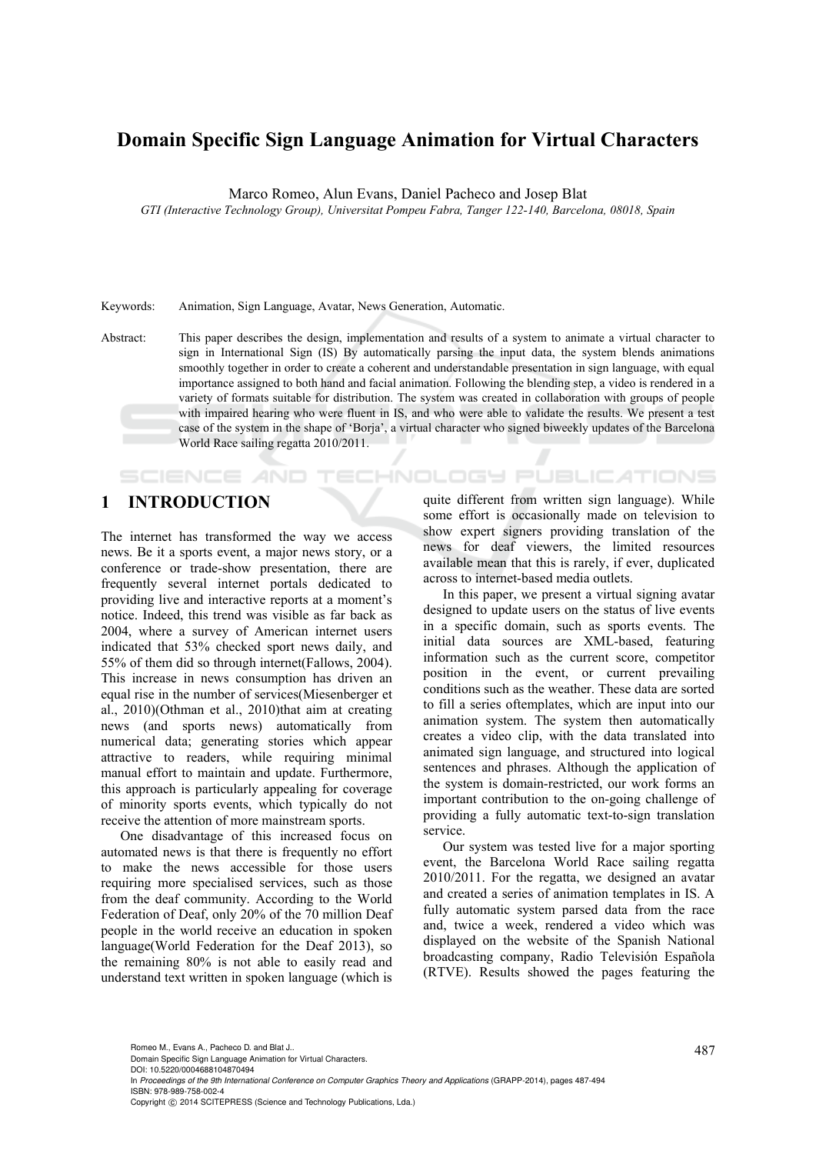# **Domain Specific Sign Language Animation for Virtual Characters**

Marco Romeo, Alun Evans, Daniel Pacheco and Josep Blat

*GTI (Interactive Technology Group), Universitat Pompeu Fabra, Tanger 122-140, Barcelona, 08018, Spain* 

Keywords: Animation, Sign Language, Avatar, News Generation, Automatic.

Abstract: This paper describes the design, implementation and results of a system to animate a virtual character to sign in International Sign (IS) By automatically parsing the input data, the system blends animations smoothly together in order to create a coherent and understandable presentation in sign language, with equal importance assigned to both hand and facial animation. Following the blending step, a video is rendered in a variety of formats suitable for distribution. The system was created in collaboration with groups of people with impaired hearing who were fluent in IS, and who were able to validate the results. We present a test case of the system in the shape of 'Borja', a virtual character who signed biweekly updates of the Barcelona World Race sailing regatta 2010/2011.

# **1 INTRODUCTION**

**SCIENCE AND** 

The internet has transformed the way we access news. Be it a sports event, a major news story, or a conference or trade-show presentation, there are frequently several internet portals dedicated to providing live and interactive reports at a moment's notice. Indeed, this trend was visible as far back as 2004, where a survey of American internet users indicated that 53% checked sport news daily, and 55% of them did so through internet(Fallows, 2004). This increase in news consumption has driven an equal rise in the number of services(Miesenberger et al., 2010)(Othman et al., 2010)that aim at creating news (and sports news) automatically from numerical data; generating stories which appear attractive to readers, while requiring minimal manual effort to maintain and update. Furthermore, this approach is particularly appealing for coverage of minority sports events, which typically do not receive the attention of more mainstream sports.

One disadvantage of this increased focus on automated news is that there is frequently no effort to make the news accessible for those users requiring more specialised services, such as those from the deaf community. According to the World Federation of Deaf, only 20% of the 70 million Deaf people in the world receive an education in spoken language(World Federation for the Deaf 2013), so the remaining 80% is not able to easily read and understand text written in spoken language (which is

quite different from written sign language). While some effort is occasionally made on television to show expert signers providing translation of the news for deaf viewers, the limited resources available mean that this is rarely, if ever, duplicated across to internet-based media outlets.

**ECHNOLOGY PUBLICATIONS** 

In this paper, we present a virtual signing avatar designed to update users on the status of live events in a specific domain, such as sports events. The initial data sources are XML-based, featuring information such as the current score, competitor position in the event, or current prevailing conditions such as the weather. These data are sorted to fill a series oftemplates, which are input into our animation system. The system then automatically creates a video clip, with the data translated into animated sign language, and structured into logical sentences and phrases. Although the application of the system is domain-restricted, our work forms an important contribution to the on-going challenge of providing a fully automatic text-to-sign translation service.

Our system was tested live for a major sporting event, the Barcelona World Race sailing regatta 2010/2011. For the regatta, we designed an avatar and created a series of animation templates in IS. A fully automatic system parsed data from the race and, twice a week, rendered a video which was displayed on the website of the Spanish National broadcasting company, Radio Televisión Española (RTVE). Results showed the pages featuring the

Romeo M., Evans A., Pacheco D. and Blat J..<br>Domain Specific Sign Language Animation for Virtual Characters. DOI: 10.5220/0004688104870494

In *Proceedings of the 9th International Conference on Computer Graphics Theory and Applications* (GRAPP-2014), pages 487-494 ISBN: 978-989-758-002-4

Copyright (C) 2014 SCITEPRESS (Science and Technology Publications, Lda.)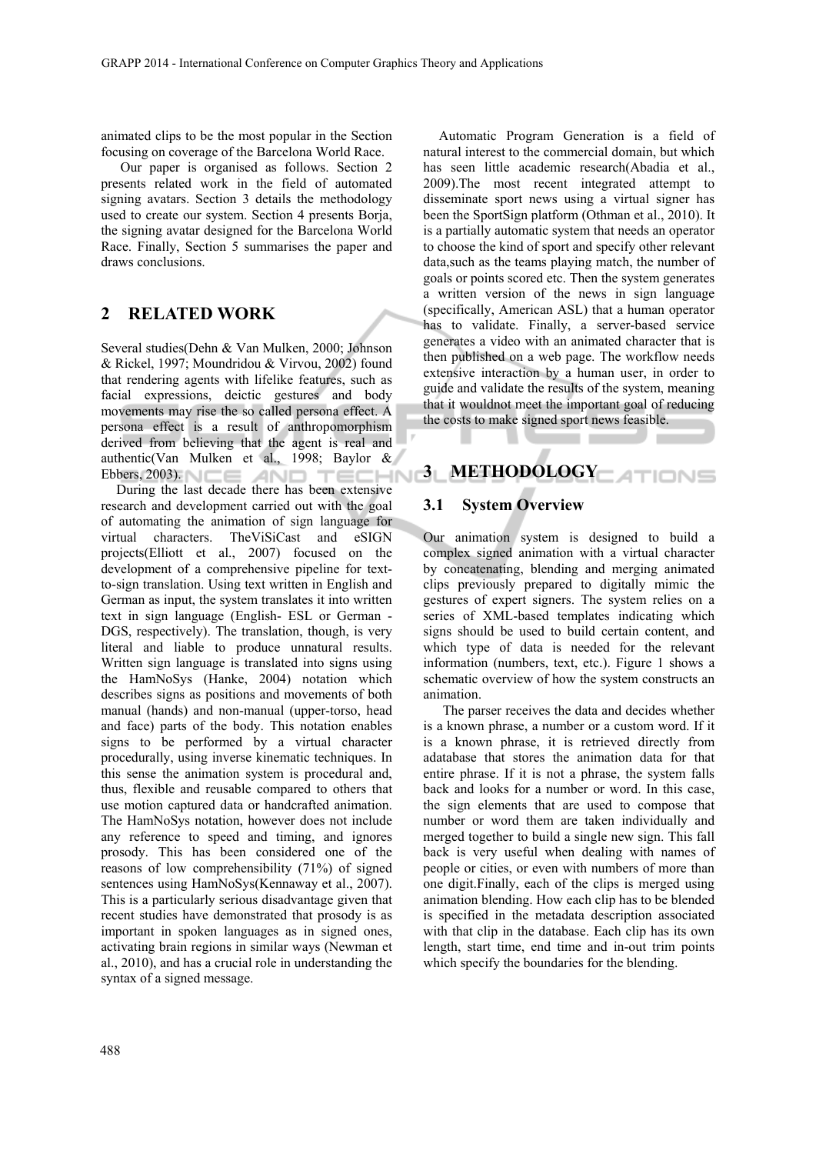animated clips to be the most popular in the Section focusing on coverage of the Barcelona World Race.

Our paper is organised as follows. Section 2 presents related work in the field of automated signing avatars. Section 3 details the methodology used to create our system. Section 4 presents Borja, the signing avatar designed for the Barcelona World Race. Finally, Section 5 summarises the paper and draws conclusions.

# **2 RELATED WORK**

Several studies(Dehn & Van Mulken, 2000; Johnson & Rickel, 1997; Moundridou & Virvou, 2002) found that rendering agents with lifelike features, such as facial expressions, deictic gestures and body movements may rise the so called persona effect. A persona effect is a result of anthropomorphism derived from believing that the agent is real and authentic(Van Mulken et al., 1998; Baylor &  $E$ bbers, 2003). NCE AND TECHNI

During the last decade there has been extensive research and development carried out with the goal of automating the animation of sign language for virtual characters. TheViSiCast and eSIGN projects(Elliott et al., 2007) focused on the development of a comprehensive pipeline for textto-sign translation. Using text written in English and German as input, the system translates it into written text in sign language (English- ESL or German - DGS, respectively). The translation, though, is very literal and liable to produce unnatural results. Written sign language is translated into signs using the HamNoSys (Hanke, 2004) notation which describes signs as positions and movements of both manual (hands) and non-manual (upper-torso, head and face) parts of the body. This notation enables signs to be performed by a virtual character procedurally, using inverse kinematic techniques. In this sense the animation system is procedural and, thus, flexible and reusable compared to others that use motion captured data or handcrafted animation. The HamNoSys notation, however does not include any reference to speed and timing, and ignores prosody. This has been considered one of the reasons of low comprehensibility (71%) of signed sentences using HamNoSys(Kennaway et al., 2007). This is a particularly serious disadvantage given that recent studies have demonstrated that prosody is as important in spoken languages as in signed ones, activating brain regions in similar ways (Newman et al., 2010), and has a crucial role in understanding the syntax of a signed message.

Automatic Program Generation is a field of natural interest to the commercial domain, but which has seen little academic research(Abadia et al., 2009).The most recent integrated attempt to disseminate sport news using a virtual signer has been the SportSign platform (Othman et al., 2010). It is a partially automatic system that needs an operator to choose the kind of sport and specify other relevant data,such as the teams playing match, the number of goals or points scored etc. Then the system generates a written version of the news in sign language (specifically, American ASL) that a human operator has to validate. Finally, a server-based service generates a video with an animated character that is then published on a web page. The workflow needs extensive interaction by a human user, in order to guide and validate the results of the system, meaning that it wouldnot meet the important goal of reducing the costs to make signed sport news feasible.

# **3 METHODOLOGY ATIONS**

# **3.1 System Overview**

Our animation system is designed to build a complex signed animation with a virtual character by concatenating, blending and merging animated clips previously prepared to digitally mimic the gestures of expert signers. The system relies on a series of XML-based templates indicating which signs should be used to build certain content, and which type of data is needed for the relevant information (numbers, text, etc.). Figure 1 shows a schematic overview of how the system constructs an animation.

The parser receives the data and decides whether is a known phrase, a number or a custom word. If it is a known phrase, it is retrieved directly from adatabase that stores the animation data for that entire phrase. If it is not a phrase, the system falls back and looks for a number or word. In this case, the sign elements that are used to compose that number or word them are taken individually and merged together to build a single new sign. This fall back is very useful when dealing with names of people or cities, or even with numbers of more than one digit.Finally, each of the clips is merged using animation blending. How each clip has to be blended is specified in the metadata description associated with that clip in the database. Each clip has its own length, start time, end time and in-out trim points which specify the boundaries for the blending.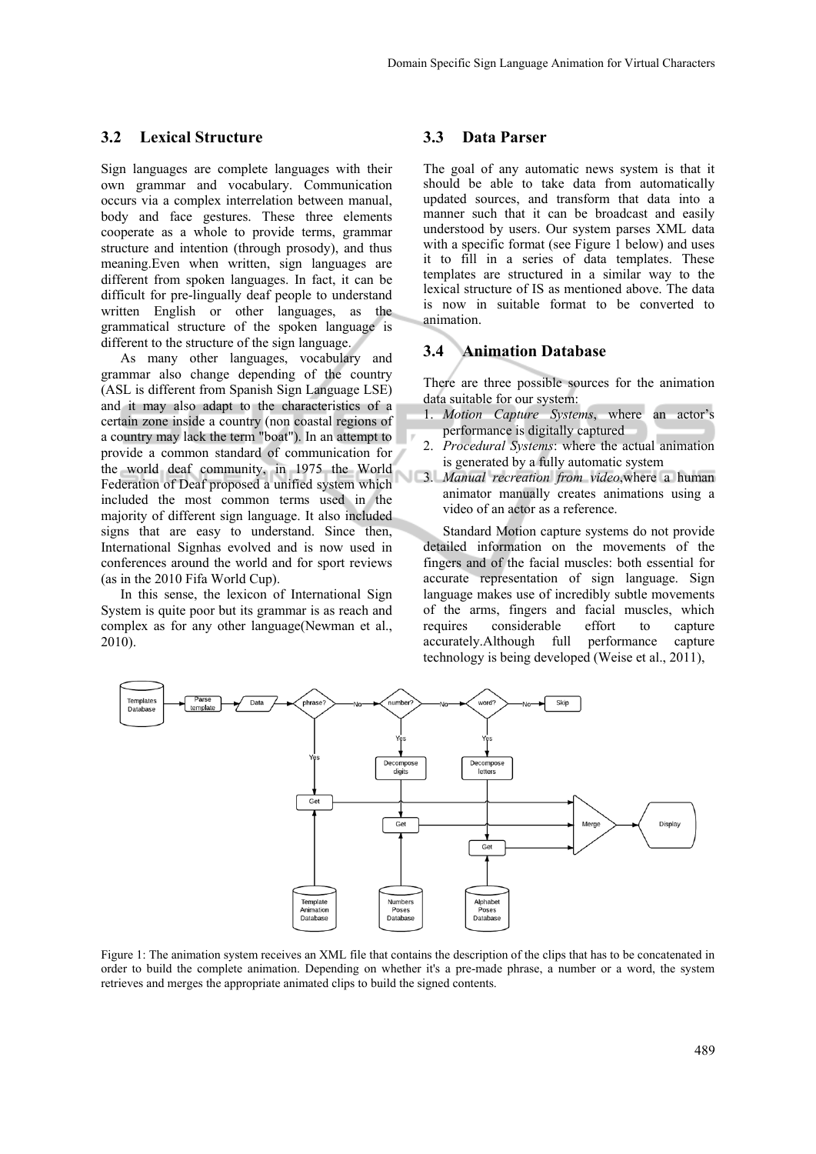#### **3.2 Lexical Structure**

Sign languages are complete languages with their own grammar and vocabulary. Communication occurs via a complex interrelation between manual, body and face gestures. These three elements cooperate as a whole to provide terms, grammar structure and intention (through prosody), and thus meaning.Even when written, sign languages are different from spoken languages. In fact, it can be difficult for pre-lingually deaf people to understand written English or other languages, as the grammatical structure of the spoken language is different to the structure of the sign language.

As many other languages, vocabulary and grammar also change depending of the country (ASL is different from Spanish Sign Language LSE) and it may also adapt to the characteristics of a certain zone inside a country (non coastal regions of a country may lack the term "boat"). In an attempt to provide a common standard of communication for the world deaf community, in 1975 the World Federation of Deaf proposed a unified system which included the most common terms used in the majority of different sign language. It also included signs that are easy to understand. Since then, International Signhas evolved and is now used in conferences around the world and for sport reviews (as in the 2010 Fifa World Cup).

In this sense, the lexicon of International Sign System is quite poor but its grammar is as reach and complex as for any other language(Newman et al., 2010).

#### **3.3 Data Parser**

The goal of any automatic news system is that it should be able to take data from automatically updated sources, and transform that data into a manner such that it can be broadcast and easily understood by users. Our system parses XML data with a specific format (see Figure 1 below) and uses it to fill in a series of data templates. These templates are structured in a similar way to the lexical structure of IS as mentioned above. The data is now in suitable format to be converted to animation.

## **3.4 Animation Database**

There are three possible sources for the animation data suitable for our system:

- 1. *Motion Capture Systems*, where an actor's performance is digitally captured
- 2. *Procedural Systems*: where the actual animation is generated by a fully automatic system
- 3. *Manual recreation from video*,where a human animator manually creates animations using a video of an actor as a reference.

Standard Motion capture systems do not provide detailed information on the movements of the fingers and of the facial muscles: both essential for accurate representation of sign language. Sign language makes use of incredibly subtle movements of the arms, fingers and facial muscles, which requires considerable effort to capture accurately.Although full performance capture technology is being developed (Weise et al., 2011),



Figure 1: The animation system receives an XML file that contains the description of the clips that has to be concatenated in order to build the complete animation. Depending on whether it's a pre-made phrase, a number or a word, the system retrieves and merges the appropriate animated clips to build the signed contents.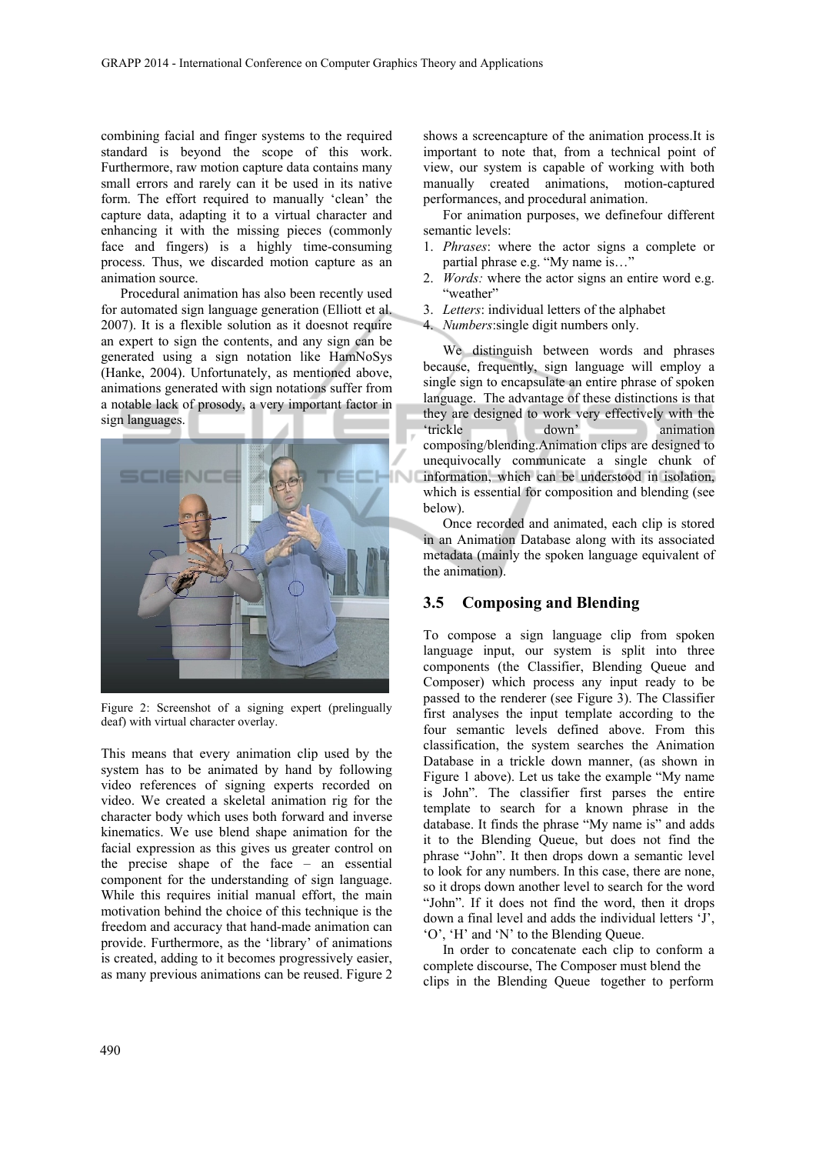combining facial and finger systems to the required standard is beyond the scope of this work. Furthermore, raw motion capture data contains many small errors and rarely can it be used in its native form. The effort required to manually 'clean' the capture data, adapting it to a virtual character and enhancing it with the missing pieces (commonly face and fingers) is a highly time-consuming process. Thus, we discarded motion capture as an animation source.

Procedural animation has also been recently used for automated sign language generation (Elliott et al. 2007). It is a flexible solution as it doesnot require an expert to sign the contents, and any sign can be generated using a sign notation like HamNoSys (Hanke, 2004). Unfortunately, as mentioned above, animations generated with sign notations suffer from a notable lack of prosody, a very important factor in sign languages.



Figure 2: Screenshot of a signing expert (prelingually deaf) with virtual character overlay.

This means that every animation clip used by the system has to be animated by hand by following video references of signing experts recorded on video. We created a skeletal animation rig for the character body which uses both forward and inverse kinematics. We use blend shape animation for the facial expression as this gives us greater control on the precise shape of the face – an essential component for the understanding of sign language. While this requires initial manual effort, the main motivation behind the choice of this technique is the freedom and accuracy that hand-made animation can provide. Furthermore, as the 'library' of animations is created, adding to it becomes progressively easier, as many previous animations can be reused. Figure 2

shows a screencapture of the animation process.It is important to note that, from a technical point of view, our system is capable of working with both manually created animations, motion-captured performances, and procedural animation.

For animation purposes, we definefour different semantic levels:

- 1. *Phrases*: where the actor signs a complete or partial phrase e.g. "My name is…"
- 2. *Words:* where the actor signs an entire word e.g. "weather"
- 3. *Letters*: individual letters of the alphabet
- 4. *Numbers*:single digit numbers only.

We distinguish between words and phrases because, frequently, sign language will employ a single sign to encapsulate an entire phrase of spoken language. The advantage of these distinctions is that they are designed to work very effectively with the 'trickle down' animation composing/blending.Animation clips are designed to unequivocally communicate a single chunk of information, which can be understood in isolation, which is essential for composition and blending (see below).

Once recorded and animated, each clip is stored in an Animation Database along with its associated metadata (mainly the spoken language equivalent of the animation).

### **3.5 Composing and Blending**

To compose a sign language clip from spoken language input, our system is split into three components (the Classifier, Blending Queue and Composer) which process any input ready to be passed to the renderer (see Figure 3). The Classifier first analyses the input template according to the four semantic levels defined above. From this classification, the system searches the Animation Database in a trickle down manner, (as shown in Figure 1 above). Let us take the example "My name is John". The classifier first parses the entire template to search for a known phrase in the database. It finds the phrase "My name is" and adds it to the Blending Queue, but does not find the phrase "John". It then drops down a semantic level to look for any numbers. In this case, there are none, so it drops down another level to search for the word "John". If it does not find the word, then it drops down a final level and adds the individual letters 'J', 'O', 'H' and 'N' to the Blending Queue.

In order to concatenate each clip to conform a complete discourse, The Composer must blend the clips in the Blending Queue together to perform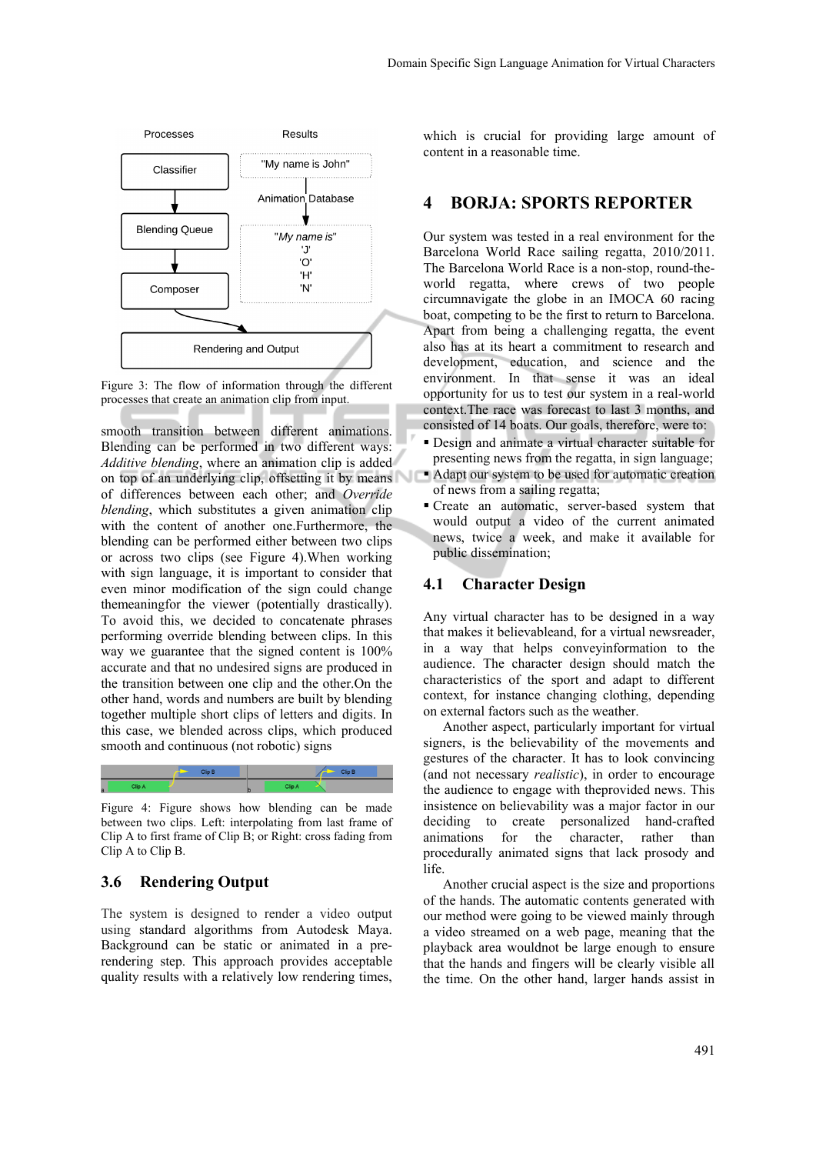

Figure 3: The flow of information through the different processes that create an animation clip from input.

smooth transition between different animations. Blending can be performed in two different ways: *Additive blending*, where an animation clip is added on top of an underlying clip, offsetting it by means of differences between each other; and *Override blending*, which substitutes a given animation clip with the content of another one.Furthermore, the blending can be performed either between two clips or across two clips (see Figure 4).When working with sign language, it is important to consider that even minor modification of the sign could change themeaningfor the viewer (potentially drastically). To avoid this, we decided to concatenate phrases performing override blending between clips. In this way we guarantee that the signed content is 100% accurate and that no undesired signs are produced in the transition between one clip and the other.On the other hand, words and numbers are built by blending together multiple short clips of letters and digits. In this case, we blended across clips, which produced smooth and continuous (not robotic) signs



Figure 4: Figure shows how blending can be made between two clips. Left: interpolating from last frame of Clip A to first frame of Clip B; or Right: cross fading from Clip A to Clip B.

#### **3.6 Rendering Output**

The system is designed to render a video output using standard algorithms from Autodesk Maya. Background can be static or animated in a prerendering step. This approach provides acceptable quality results with a relatively low rendering times,

which is crucial for providing large amount of content in a reasonable time.

# **4 BORJA: SPORTS REPORTER**

Our system was tested in a real environment for the Barcelona World Race sailing regatta, 2010/2011. The Barcelona World Race is a non-stop, round-theworld regatta, where crews of two people circumnavigate the globe in an IMOCA 60 racing boat, competing to be the first to return to Barcelona. Apart from being a challenging regatta, the event also has at its heart a commitment to research and development, education, and science and the environment. In that sense it was an ideal opportunity for us to test our system in a real-world context.The race was forecast to last 3 months, and consisted of 14 boats. Our goals, therefore, were to:

- Design and animate a virtual character suitable for presenting news from the regatta, in sign language;
- Adapt our system to be used for automatic creation of news from a sailing regatta;
- Create an automatic, server-based system that would output a video of the current animated news, twice a week, and make it available for public dissemination;

#### **4.1 Character Design**

Any virtual character has to be designed in a way that makes it believableand, for a virtual newsreader, in a way that helps conveyinformation to the audience. The character design should match the characteristics of the sport and adapt to different context, for instance changing clothing, depending on external factors such as the weather.

Another aspect, particularly important for virtual signers, is the believability of the movements and gestures of the character. It has to look convincing (and not necessary *realistic*), in order to encourage the audience to engage with theprovided news. This insistence on believability was a major factor in our deciding to create personalized hand-crafted animations for the character, rather than procedurally animated signs that lack prosody and life.

Another crucial aspect is the size and proportions of the hands. The automatic contents generated with our method were going to be viewed mainly through a video streamed on a web page, meaning that the playback area wouldnot be large enough to ensure that the hands and fingers will be clearly visible all the time. On the other hand, larger hands assist in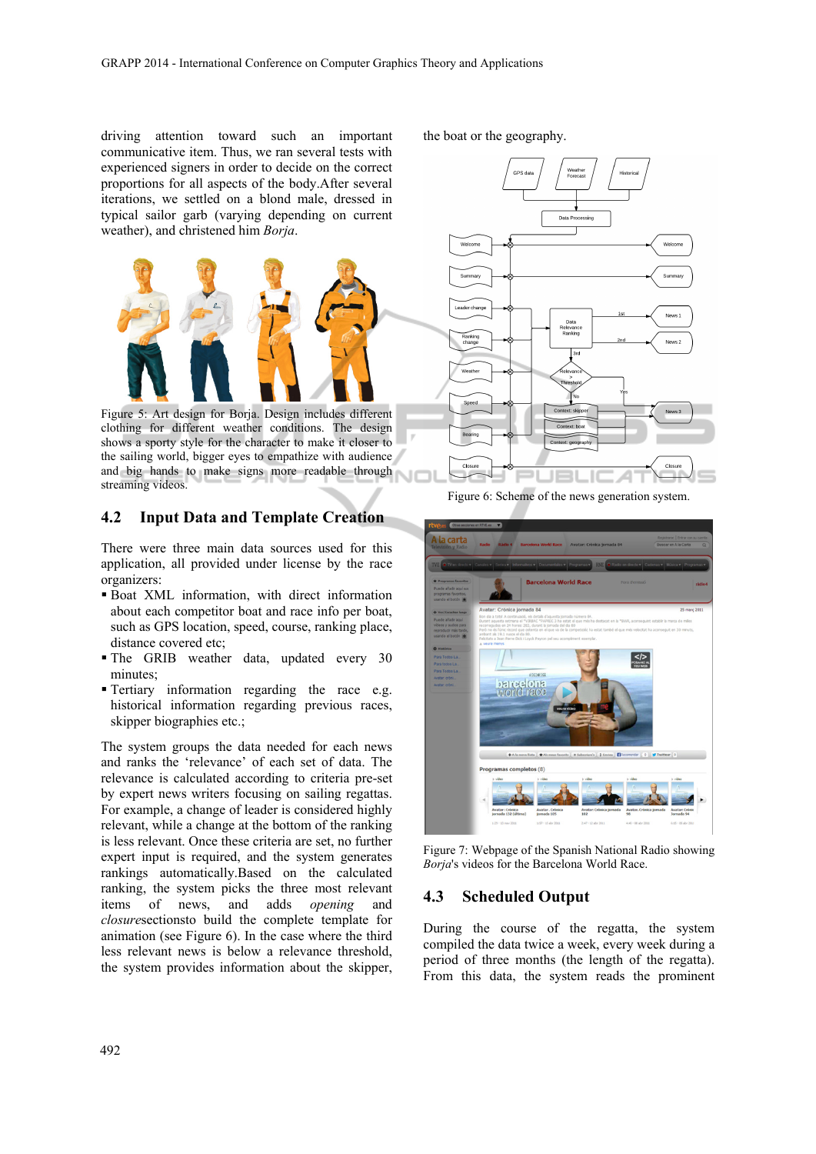driving attention toward such an important communicative item. Thus, we ran several tests with experienced signers in order to decide on the correct proportions for all aspects of the body.After several iterations, we settled on a blond male, dressed in typical sailor garb (varying depending on current weather), and christened him *Borja*.



Figure 5: Art design for Borja. Design includes different clothing for different weather conditions. The design shows a sporty style for the character to make it closer to the sailing world, bigger eyes to empathize with audience and big hands to make signs more readable through streaming videos.

### **4.2 Input Data and Template Creation**

There were three main data sources used for this application, all provided under license by the race organizers:

- Boat XML information, with direct information about each competitor boat and race info per boat, such as GPS location, speed, course, ranking place, distance covered etc;
- The GRIB weather data, updated every 30 minutes;
- Tertiary information regarding the race e.g. historical information regarding previous races, skipper biographies etc.;

The system groups the data needed for each news and ranks the 'relevance' of each set of data. The relevance is calculated according to criteria pre-set by expert news writers focusing on sailing regattas. For example, a change of leader is considered highly relevant, while a change at the bottom of the ranking is less relevant. Once these criteria are set, no further expert input is required, and the system generates rankings automatically.Based on the calculated ranking, the system picks the three most relevant items of news, and adds *opening* and *closure*sectionsto build the complete template for animation (see Figure 6). In the case where the third less relevant news is below a relevance threshold, the system provides information about the skipper, the boat or the geography.



Figure 6: Scheme of the news generation system.



Figure 7: Webpage of the Spanish National Radio showing *Borja*'s videos for the Barcelona World Race.

# **4.3 Scheduled Output**

During the course of the regatta, the system compiled the data twice a week, every week during a period of three months (the length of the regatta). From this data, the system reads the prominent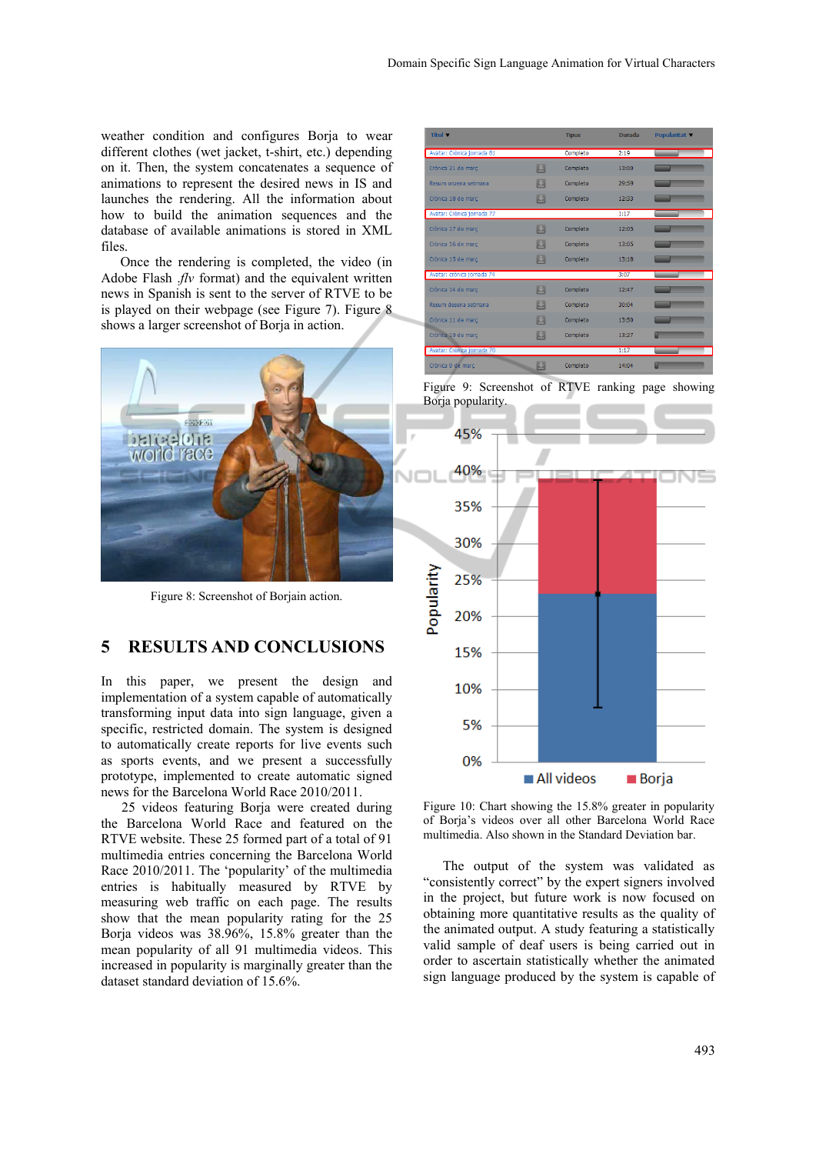weather condition and configures Borja to wear different clothes (wet jacket, t-shirt, etc.) depending on it. Then, the system concatenates a sequence of animations to represent the desired news in IS and launches the rendering. All the information about how to build the animation sequences and the database of available animations is stored in XML files.

Once the rendering is completed, the video (in Adobe Flash .*flv* format) and the equivalent written news in Spanish is sent to the server of RTVE to be is played on their webpage (see Figure 7). Figure 8 shows a larger screenshot of Borja in action.



Figure 8: Screenshot of Borjain action.

## **5 RESULTS AND CONCLUSIONS**

In this paper, we present the design and implementation of a system capable of automatically transforming input data into sign language, given a specific, restricted domain. The system is designed to automatically create reports for live events such as sports events, and we present a successfully prototype, implemented to create automatic signed news for the Barcelona World Race 2010/2011.

25 videos featuring Borja were created during the Barcelona World Race and featured on the RTVE website. These 25 formed part of a total of 91 multimedia entries concerning the Barcelona World Race 2010/2011. The 'popularity' of the multimedia entries is habitually measured by RTVE by measuring web traffic on each page. The results show that the mean popularity rating for the 25 Borja videos was 38.96%, 15.8% greater than the mean popularity of all 91 multimedia videos. This increased in popularity is marginally greater than the dataset standard deviation of 15.6%.

| Titol v                    |    | <b>Tipus</b> | <b>Durada</b> | <b>Popularitat</b> ▼ |
|----------------------------|----|--------------|---------------|----------------------|
| Avatar: Crònica jornada 81 |    | Completo     | 2:19          |                      |
| Crònica 21 de març         | 因  | Completo     | 13:00         |                      |
| Resum onzena setmana       | K. | Completo     | 29:59         |                      |
| Crònica 18 de març         | 閮  | Completo     | 12:33         |                      |
| Avatar: Crònica jornada 77 |    |              | 1:17          |                      |
| Crònica 17 de març         | 圓  | Completo     | 12:05         |                      |
| Crònica 16 de març         | 因  | Completo     | 13:05         |                      |
| Crònica 15 de març         | 閰  | Completo     | 13:18         |                      |
| Avatar: crònica jornada 74 |    |              | 3:07          |                      |
| Crònica 14 de març         | 因  | Completo     | 12:47         |                      |
| Resum desena setmana       | 閮  | Completo     | 30:04         |                      |
| Crònica 11 de març         | ш  | Completo     | 13:50         |                      |
| Crònica 10 de març         | 因  | Completo     | 13:27         |                      |
| Avatar: Crònica jornada 70 |    |              | 1:17          |                      |
| Crònica 9 de març          | 因  | Completo     | 14:04         |                      |





Figure 10: Chart showing the 15.8% greater in popularity of Borja's videos over all other Barcelona World Race multimedia. Also shown in the Standard Deviation bar.

The output of the system was validated as "consistently correct" by the expert signers involved in the project, but future work is now focused on obtaining more quantitative results as the quality of the animated output. A study featuring a statistically valid sample of deaf users is being carried out in order to ascertain statistically whether the animated sign language produced by the system is capable of